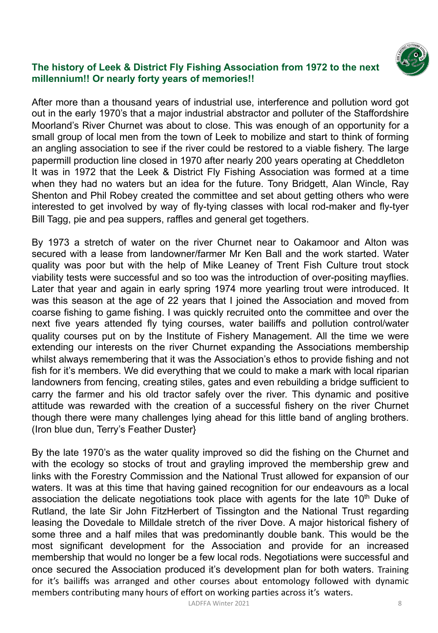

### **The history of Leek & District Fly Fishing Association from 1972 to the next millennium!! Or nearly forty years of memories!!**

After more than a thousand years of industrial use, interference and pollution word got out in the early 1970's that a major industrial abstractor and polluter of the Staffordshire Moorland's River Churnet was about to close. This was enough of an opportunity for a small group of local men from the town of Leek to mobilize and start to think of forming an angling association to see if the river could be restored to a viable fishery. The large papermill production line closed in 1970 after nearly 200 years operating at Cheddleton It was in 1972 that the Leek & District Fly Fishing Association was formed at a time when they had no waters but an idea for the future. Tony Bridgett, Alan Wincle, Ray Shenton and Phil Robey created the committee and set about getting others who were interested to get involved by way of fly-tying classes with local rod-maker and fly-tyer Bill Tagg, pie and pea suppers, raffles and general get togethers.

By 1973 a stretch of water on the river Churnet near to Oakamoor and Alton was secured with a lease from landowner/farmer Mr Ken Ball and the work started. Water quality was poor but with the help of Mike Leaney of Trent Fish Culture trout stock viability tests were successful and so too was the introduction of over-positing mayflies. Later that year and again in early spring 1974 more yearling trout were introduced. It was this season at the age of 22 years that I joined the Association and moved from coarse fishing to game fishing. I was quickly recruited onto the committee and over the next five years attended fly tying courses, water bailiffs and pollution control/water quality courses put on by the Institute of Fishery Management. All the time we were extending our interests on the river Churnet expanding the Associations membership whilst always remembering that it was the Association's ethos to provide fishing and not fish for it's members. We did everything that we could to make a mark with local riparian landowners from fencing, creating stiles, gates and even rebuilding a bridge sufficient to carry the farmer and his old tractor safely over the river. This dynamic and positive attitude was rewarded with the creation of a successful fishery on the river Churnet though there were many challenges lying ahead for this little band of angling brothers. (Iron blue dun, Terry's Feather Duster}

By the late 1970's as the water quality improved so did the fishing on the Churnet and with the ecology so stocks of trout and grayling improved the membership grew and links with the Forestry Commission and the National Trust allowed for expansion of our waters. It was at this time that having gained recognition for our endeavours as a local association the delicate negotiations took place with agents for the late  $10<sup>th</sup>$  Duke of Rutland, the late Sir John FitzHerbert of Tissington and the National Trust regarding leasing the Dovedale to Milldale stretch of the river Dove. A major historical fishery of some three and a half miles that was predominantly double bank. This would be the most significant development for the Association and provide for an increased membership that would no longer be a few local rods. Negotiations were successful and once secured the Association produced it's development plan for both waters. Training for it's bailiffs was arranged and other courses about entomology followed with dynamic members contributing many hours of effort on working parties across it's waters.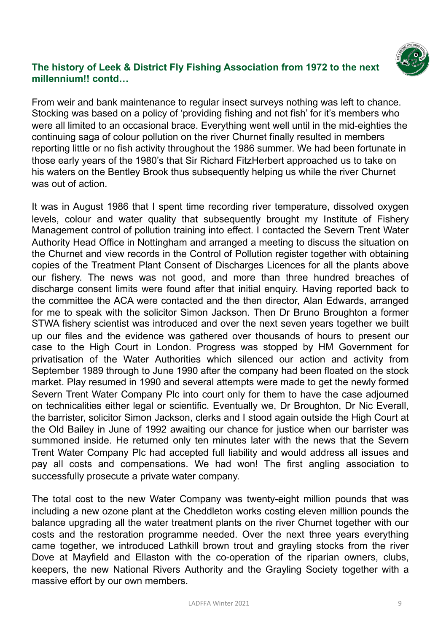

From weir and bank maintenance to regular insect surveys nothing was left to chance. Stocking was based on a policy of 'providing fishing and not fish' for it's members who were all limited to an occasional brace. Everything went well until in the mid-eighties the continuing saga of colour pollution on the river Churnet finally resulted in members reporting little or no fish activity throughout the 1986 summer. We had been fortunate in those early years of the 1980's that Sir Richard FitzHerbert approached us to take on his waters on the Bentley Brook thus subsequently helping us while the river Churnet was out of action.

It was in August 1986 that I spent time recording river temperature, dissolved oxygen levels, colour and water quality that subsequently brought my Institute of Fishery Management control of pollution training into effect. I contacted the Severn Trent Water Authority Head Office in Nottingham and arranged a meeting to discuss the situation on the Churnet and view records in the Control of Pollution register together with obtaining copies of the Treatment Plant Consent of Discharges Licences for all the plants above our fishery. The news was not good, and more than three hundred breaches of discharge consent limits were found after that initial enquiry. Having reported back to the committee the ACA were contacted and the then director, Alan Edwards, arranged for me to speak with the solicitor Simon Jackson. Then Dr Bruno Broughton a former STWA fishery scientist was introduced and over the next seven years together we built up our files and the evidence was gathered over thousands of hours to present our case to the High Court in London. Progress was stopped by HM Government for privatisation of the Water Authorities which silenced our action and activity from September 1989 through to June 1990 after the company had been floated on the stock market. Play resumed in 1990 and several attempts were made to get the newly formed Severn Trent Water Company Plc into court only for them to have the case adjourned on technicalities either legal or scientific. Eventually we, Dr Broughton, Dr Nic Everall, the barrister, solicitor Simon Jackson, clerks and I stood again outside the High Court at the Old Bailey in June of 1992 awaiting our chance for justice when our barrister was summoned inside. He returned only ten minutes later with the news that the Severn Trent Water Company Plc had accepted full liability and would address all issues and pay all costs and compensations. We had won! The first angling association to successfully prosecute a private water company.

The total cost to the new Water Company was twenty-eight million pounds that was including a new ozone plant at the Cheddleton works costing eleven million pounds the balance upgrading all the water treatment plants on the river Churnet together with our costs and the restoration programme needed. Over the next three years everything came together, we introduced Lathkill brown trout and grayling stocks from the river Dove at Mayfield and Ellaston with the co-operation of the riparian owners, clubs, keepers, the new National Rivers Authority and the Grayling Society together with a massive effort by our own members.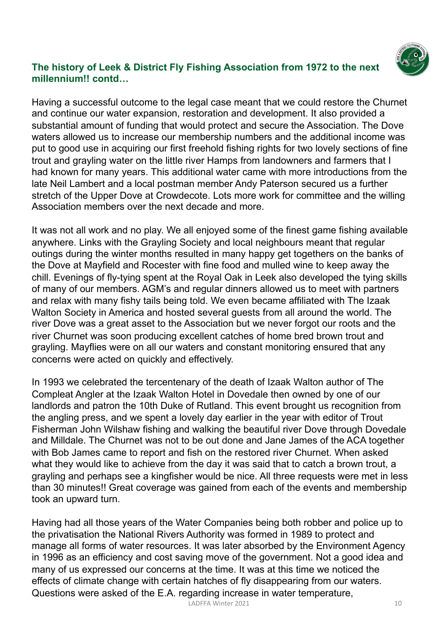

Having a successful outcome to the legal case meant that we could restore the Churnet and continue our water expansion, restoration and development. It also provided a substantial amount of funding that would protect and secure the Association. The Dove waters allowed us to increase our membership numbers and the additional income was put to good use in acquiring our first freehold fishing rights for two lovely sections of fine trout and grayling water on the little river Hamps from landowners and farmers that I had known for many years. This additional water came with more introductions from the late Neil Lambert and a local postman member Andy Paterson secured us a further stretch of the Upper Dove at Crowdecote. Lots more work for committee and the willing Association members over the next decade and more.

It was not all work and no play. We all enjoyed some of the finest game fishing available anywhere. Links with the Grayling Society and local neighbours meant that regular outings during the winter months resulted in many happy get togethers on the banks of the Dove at Mayfield and Rocester with fine food and mulled wine to keep away the chill. Evenings of fly-tying spent at the Royal Oak in Leek also developed the tying skills of many of our members. AGM's and regular dinners allowed us to meet with partners and relax with many fishy tails being told. We even became affiliated with The Izaak Walton Society in America and hosted several guests from all around the world. The river Dove was a great asset to the Association but we never forgot our roots and the river Churnet was soon producing excellent catches of home bred brown trout and grayling. Mayflies were on all our waters and constant monitoring ensured that any concerns were acted on quickly and effectively.

In 1993 we celebrated the tercentenary of the death of Izaak Walton author of The Compleat Angler at the Izaak Walton Hotel in Dovedale then owned by one of our landlords and patron the 10th Duke of Rutland. This event brought us recognition from the angling press, and we spent a lovely day earlier in the year with editor of Trout Fisherman John Wilshaw fishing and walking the beautiful river Dove through Dovedale and Milldale. The Churnet was not to be out done and Jane James of the ACA together with Bob James came to report and fish on the restored river Churnet. When asked what they would like to achieve from the day it was said that to catch a brown trout, a grayling and perhaps see a kingfisher would be nice. All three requests were met in less than 30 minutes!! Great coverage was gained from each of the events and membership took an upward turn.

Having had all those years of the Water Companies being both robber and police up to the privatisation the National Rivers Authority was formed in 1989 to protect and manage all forms of water resources. It was later absorbed by the Environment Agency in 1996 as an efficiency and cost saving move of the government. Not a good idea and many of us expressed our concerns at the time. It was at this time we noticed the effects of climate change with certain hatches of fly disappearing from our waters. Questions were asked of the E.A. regarding increase in water temperature,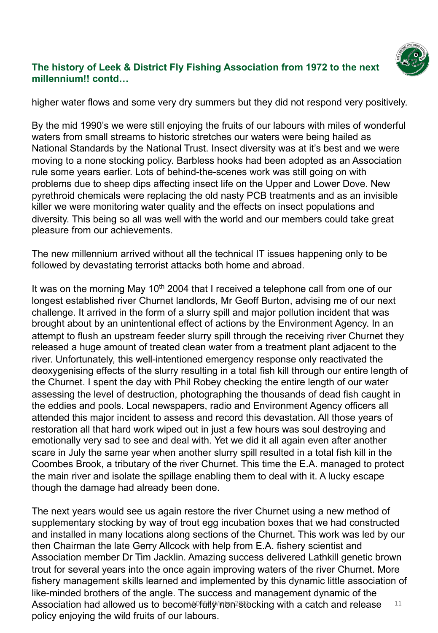

higher water flows and some very dry summers but they did not respond very positively.

By the mid 1990's we were still enjoying the fruits of our labours with miles of wonderful waters from small streams to historic stretches our waters were being hailed as National Standards by the National Trust. Insect diversity was at it's best and we were moving to a none stocking policy. Barbless hooks had been adopted as an Association rule some years earlier. Lots of behind-the-scenes work was still going on with problems due to sheep dips affecting insect life on the Upper and Lower Dove. New pyrethroid chemicals were replacing the old nasty PCB treatments and as an invisible killer we were monitoring water quality and the effects on insect populations and diversity. This being so all was well with the world and our members could take great pleasure from our achievements.

The new millennium arrived without all the technical IT issues happening only to be followed by devastating terrorist attacks both home and abroad.

It was on the morning May 10<sup>th</sup> 2004 that I received a telephone call from one of our longest established river Churnet landlords, Mr Geoff Burton, advising me of our next challenge. It arrived in the form of a slurry spill and major pollution incident that was brought about by an unintentional effect of actions by the Environment Agency. In an attempt to flush an upstream feeder slurry spill through the receiving river Churnet they released a huge amount of treated clean water from a treatment plant adjacent to the river. Unfortunately, this well-intentioned emergency response only reactivated the deoxygenising effects of the slurry resulting in a total fish kill through our entire length of the Churnet. I spent the day with Phil Robey checking the entire length of our water assessing the level of destruction, photographing the thousands of dead fish caught in the eddies and pools. Local newspapers, radio and Environment Agency officers all attended this major incident to assess and record this devastation. All those years of restoration all that hard work wiped out in just a few hours was soul destroying and emotionally very sad to see and deal with. Yet we did it all again even after another scare in July the same year when another slurry spill resulted in a total fish kill in the Coombes Brook, a tributary of the river Churnet. This time the E.A. managed to protect the main river and isolate the spillage enabling them to deal with it. A lucky escape though the damage had already been done.

The next years would see us again restore the river Churnet using a new method of supplementary stocking by way of trout egg incubation boxes that we had constructed and installed in many locations along sections of the Churnet. This work was led by our then Chairman the late Gerry Allcock with help from E.A. fishery scientist and Association member Dr Tim Jacklin. Amazing success delivered Lathkill genetic brown trout for several years into the once again improving waters of the river Churnet. More fishery management skills learned and implemented by this dynamic little association of like-minded brothers of the angle. The success and management dynamic of the Association had allowed us to become fully non stocking with a catch and release  $11$ policy enjoying the wild fruits of our labours.